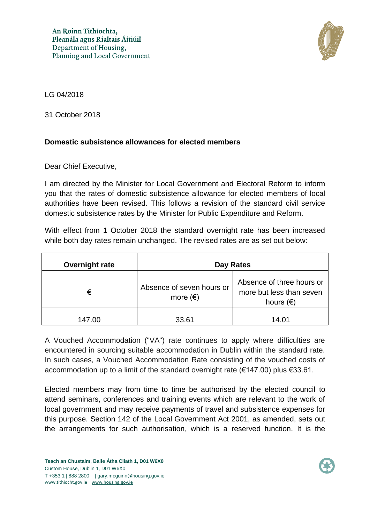

LG 04/2018

31 October 2018

## **Domestic subsistence allowances for elected members**

Dear Chief Executive,

I am directed by the Minister for Local Government and Electoral Reform to inform you that the rates of domestic subsistence allowance for elected members of local authorities have been revised. This follows a revision of the standard civil service domestic subsistence rates by the Minister for Public Expenditure and Reform.

With effect from 1 October 2018 the standard overnight rate has been increased while both day rates remain unchanged. The revised rates are as set out below:

| Overnight rate | Day Rates                                      |                                                                             |
|----------------|------------------------------------------------|-----------------------------------------------------------------------------|
| €              | Absence of seven hours or<br>more $(\epsilon)$ | Absence of three hours or<br>more but less than seven<br>hours $(\epsilon)$ |
| 147,00         | 33.61                                          | 14 N1                                                                       |

A Vouched Accommodation ("VA") rate continues to apply where difficulties are encountered in sourcing suitable accommodation in Dublin within the standard rate. In such cases, a Vouched Accommodation Rate consisting of the vouched costs of accommodation up to a limit of the standard overnight rate (€147.00) plus €33.61.

Elected members may from time to time be authorised by the elected council to attend seminars, conferences and training events which are relevant to the work of local government and may receive payments of travel and subsistence expenses for this purpose. Section 142 of the Local Government Act 2001, as amended, sets out the arrangements for such authorisation, which is a reserved function. It is the